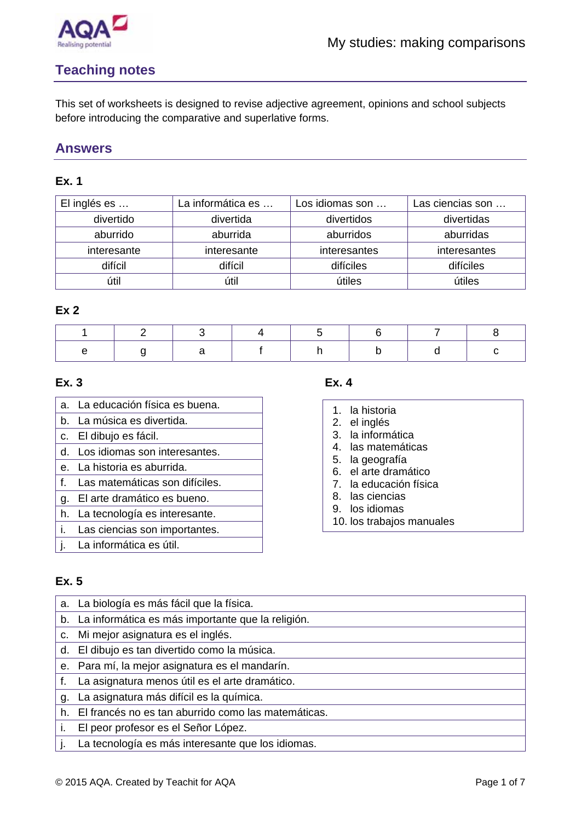

# **Teaching notes**

This set of worksheets is designed to revise adjective agreement, opinions and school subjects before introducing the comparative and superlative forms.

## **Answers**

## **Ex. 1**

| El inglés es | La informática es | Los idiomas son | Las ciencias son |
|--------------|-------------------|-----------------|------------------|
| divertido    | divertida         | divertidos      | divertidas       |
| aburrido     | aburrida          | aburridos       | aburridas        |
| interesante  | interesante       | interesantes    | interesantes     |
| difícil      | difícil           | difíciles       | difíciles        |
| útil         | útil              | útiles          | útiles           |

#### **Ex 2**

|    | a. La educación física es buena.  |
|----|-----------------------------------|
|    | b. La música es divertida.        |
|    | c. El dibujo es fácil.            |
| d. | Los idiomas son interesantes.     |
|    | e. La historia es aburrida.       |
|    |                                   |
|    | f. Las matemáticas son difíciles. |
| q. | El arte dramático es bueno.       |
| h. | La tecnología es interesante.     |
|    | i. Las ciencias son importantes.  |

#### **Ex. 3 Ex. 4**

- 1. la historia
- 2. el inglés
- 3. la informática
- 4. las matemáticas
- 5. la geografía
- 6. el arte dramático
- 7. la educación física
- 8. las ciencias
- 9. los idiomas
- 10. los trabajos manuales

## **Ex. 5**

|    | a. La biología es más fácil que la física.             |
|----|--------------------------------------------------------|
|    | b. La informática es más importante que la religión.   |
| c. | Mi mejor asignatura es el inglés.                      |
|    | d. El dibujo es tan divertido como la música.          |
|    | e. Para mí, la mejor asignatura es el mandarín.        |
|    | La asignatura menos útil es el arte dramático.         |
| q. | La asignatura más difícil es la química.               |
|    | h. El francés no es tan aburrido como las matemáticas. |
|    | El peor profesor es el Señor López.                    |
|    | La tecnología es más interesante que los idiomas.      |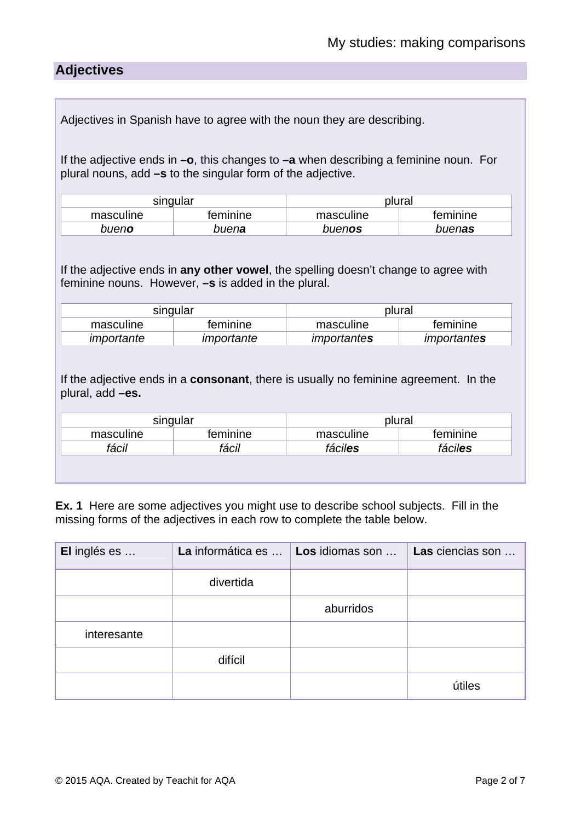# **Adjectives**

Adjectives in Spanish have to agree with the noun they are describing.

If the adjective ends in **–o**, this changes to **–a** when describing a feminine noun. For plural nouns, add **–s** to the singular form of the adjective.

| singular      |               | plural    |          |
|---------------|---------------|-----------|----------|
| masculine     | teminine      | masculine | feminine |
| buen <b>o</b> | buen <b>a</b> | buenos    | buenas   |

If the adjective ends in **any other vowel**, the spelling doesn't change to agree with feminine nouns. However, **–s** is added in the plural.

| singular   |            | plural      |             |
|------------|------------|-------------|-------------|
| masculine  | feminine   | masculine   | teminine    |
| importante | importante | importantes | importantes |

If the adjective ends in a **consonant**, there is usually no feminine agreement. In the plural, add **–es.** 

| singular       |          | plural    |          |
|----------------|----------|-----------|----------|
| masculine      | feminine | masculine | feminine |
| fácil<br>fácil |          | fáciles   | fáciles  |
|                |          |           |          |

**Ex. 1** Here are some adjectives you might use to describe school subjects. Fill in the missing forms of the adjectives in each row to complete the table below.

| El inglés es | La informática es | Los idiomas son | Las ciencias son |
|--------------|-------------------|-----------------|------------------|
|              | divertida         |                 |                  |
|              |                   | aburridos       |                  |
| interesante  |                   |                 |                  |
|              | difícil           |                 |                  |
|              |                   |                 | útiles           |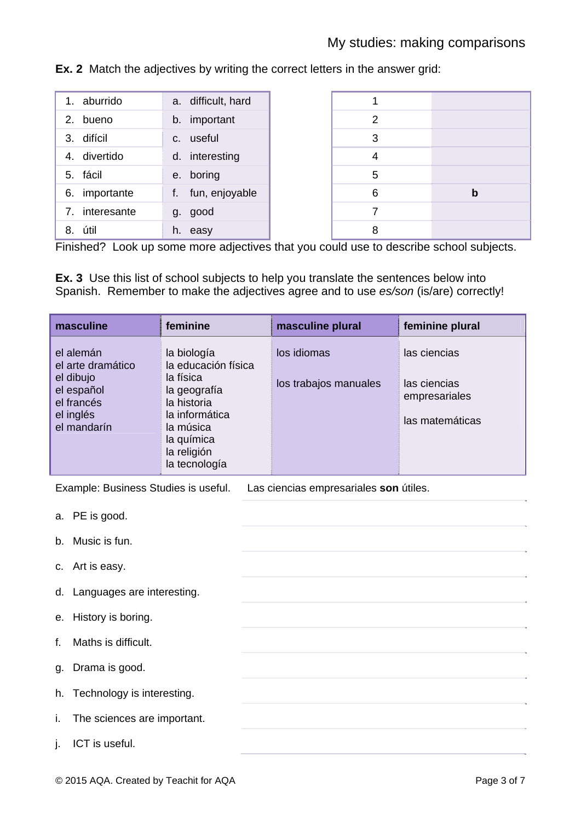| aburrido<br>$1_{\cdot}$ | a. difficult, hard |
|-------------------------|--------------------|
| 2. bueno                | b. important       |
| 3. difícil              | c. useful          |
| 4. divertido            | d. interesting     |
| 5. fácil                | e. boring          |
| importante<br>6.        | f. fun, enjoyable  |
| interesante<br>7.       | g. good            |
| útil<br>8.              | h. easy            |

**Ex. 2** Match the adjectives by writing the correct letters in the answer grid:

Finished? Look up some more adjectives that you could use to describe school subjects.

**Ex. 3** Use this list of school subjects to help you translate the sentences below into Spanish. Remember to make the adjectives agree and to use *es/son* (is/are) correctly!

| masculine                                                                                           | feminine                                                                                                                                                    | masculine plural                     | feminine plural                                                  |
|-----------------------------------------------------------------------------------------------------|-------------------------------------------------------------------------------------------------------------------------------------------------------------|--------------------------------------|------------------------------------------------------------------|
| el alemán<br>el arte dramático<br>el dibujo<br>el español<br>el francés<br>el inglés<br>el mandarín | la biología<br>la educación física<br>la física<br>la geografía<br>la historia<br>la informática<br>la música<br>la química<br>la religión<br>la tecnología | los idiomas<br>los trabajos manuales | las ciencias<br>las ciencias<br>empresariales<br>las matemáticas |

Example: Business Studies is useful. Las ciencias empresariales **son** útiles.

- a. PE is good.
- b. Music is fun.
- c. Art is easy.
- d. Languages are interesting.
- e. History is boring.
- f. Maths is difficult.
- g. Drama is good.
- h. Technology is interesting.
- i. The sciences are important.
- j. ICT is useful.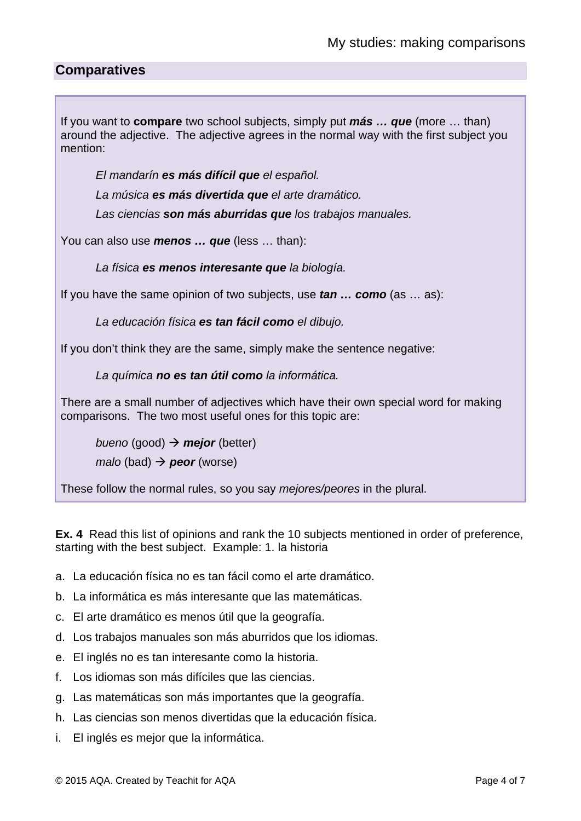## **Comparatives**

If you want to **compare** two school subjects, simply put *más … que* (more … than) around the adjective. The adjective agrees in the normal way with the first subject you mention:

 *El mandarín es más difícil que el español.* 

 *La música es más divertida que el arte dramático.* 

 *Las ciencias son más aburridas que los trabajos manuales.* 

You can also use *menos … que* (less … than):

 *La física es menos interesante que la biología.* 

If you have the same opinion of two subjects, use *tan … como* (as … as):

 *La educación física es tan fácil como el dibujo.* 

If you don't think they are the same, simply make the sentence negative:

 *La química no es tan útil como la informática.* 

There are a small number of adjectives which have their own special word for making comparisons. The two most useful ones for this topic are:

*bueno* (good)  $\rightarrow$  *mejor* (better)  $malo$  (bad)  $\rightarrow$  **peor** (worse)

These follow the normal rules, so you say *mejores/peores* in the plural.

**Ex. 4** Read this list of opinions and rank the 10 subjects mentioned in order of preference, starting with the best subject. Example: 1. la historia

- a. La educación física no es tan fácil como el arte dramático.
- b. La informática es más interesante que las matemáticas.
- c. El arte dramático es menos útil que la geografía.
- d. Los trabajos manuales son más aburridos que los idiomas.
- e. El inglés no es tan interesante como la historia.
- f. Los idiomas son más difíciles que las ciencias.
- g. Las matemáticas son más importantes que la geografía.
- h. Las ciencias son menos divertidas que la educación física.
- i. El inglés es mejor que la informática.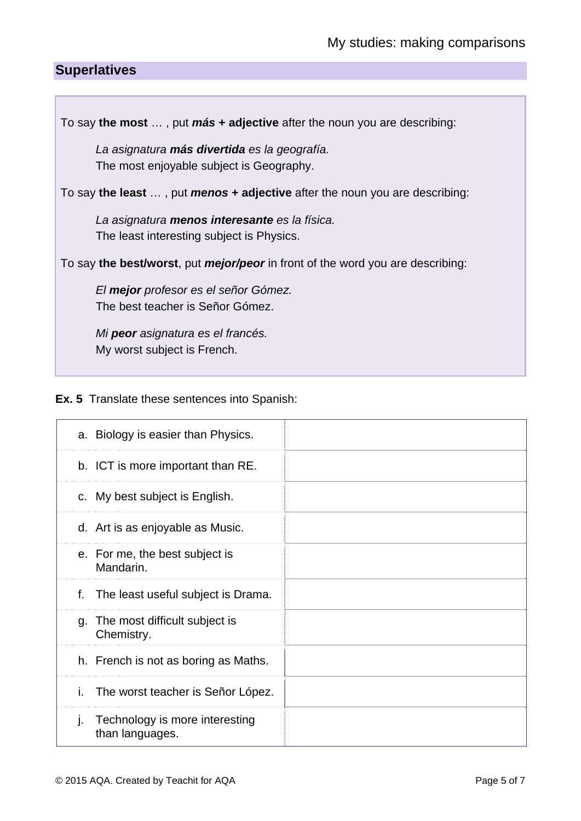## **Superlatives**

To say **the most** … , put *más* **+ adjective** after the noun you are describing:

*La asignatura más divertida es la geografía.*  The most enjoyable subject is Geography.

To say **the least** … , put *menos* **+ adjective** after the noun you are describing:

*La asignatura menos interesante es la física.*  The least interesting subject is Physics.

To say **the best/worst**, put *mejor/peor* in front of the word you are describing:

 *El mejor profesor es el señor Gómez.*  The best teacher is Señor Gómez.

 *Mi peor asignatura es el francés.*  My worst subject is French.

**Ex. 5** Translate these sentences into Spanish:

| a. Biology is easier than Physics.                      |  |
|---------------------------------------------------------|--|
| b. ICT is more important than RE.                       |  |
| c. My best subject is English.                          |  |
| d. Art is as enjoyable as Music.                        |  |
| e. For me, the best subject is<br>Mandarin.             |  |
| The least useful subject is Drama.<br>f.                |  |
| The most difficult subject is<br>g.<br>Chemistry.       |  |
| h. French is not as boring as Maths.                    |  |
| The worst teacher is Señor López.<br>i.                 |  |
| Technology is more interesting<br>ı.<br>than languages. |  |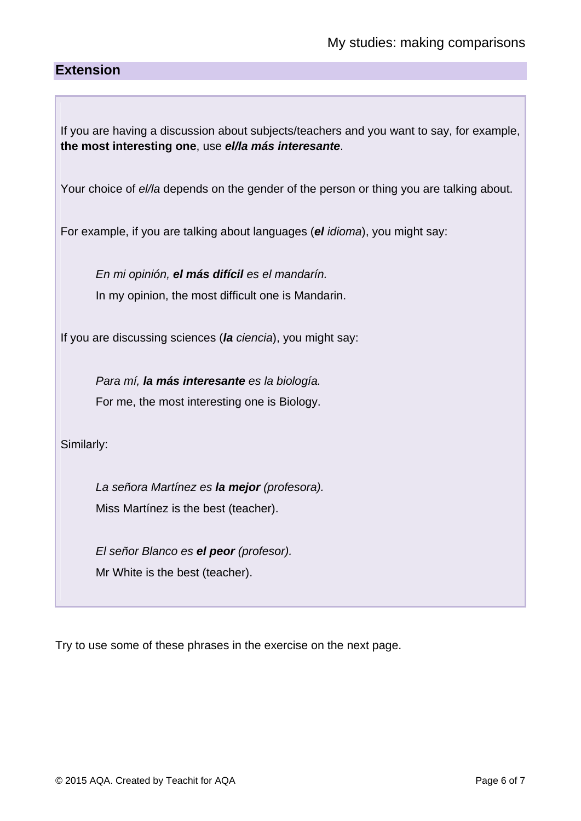## **Extension**

If you are having a discussion about subjects/teachers and you want to say, for example, **the most interesting one**, use *el/la más interesante*.

Your choice of  $e$ //a depends on the gender of the person or thing you are talking about.

For example, if you are talking about languages (*el idioma*), you might say:

 *En mi opinión, el más difícil es el mandarín.* In my opinion, the most difficult one is Mandarin.

If you are discussing sciences (*la ciencia*), you might say:

*Para mí, la más interesante es la biología.* For me, the most interesting one is Biology.

Similarly:

*La señora Martínez es la mejor (profesora).*  Miss Martínez is the best (teacher).

 *El señor Blanco es el peor (profesor).*  Mr White is the best (teacher).

Try to use some of these phrases in the exercise on the next page.